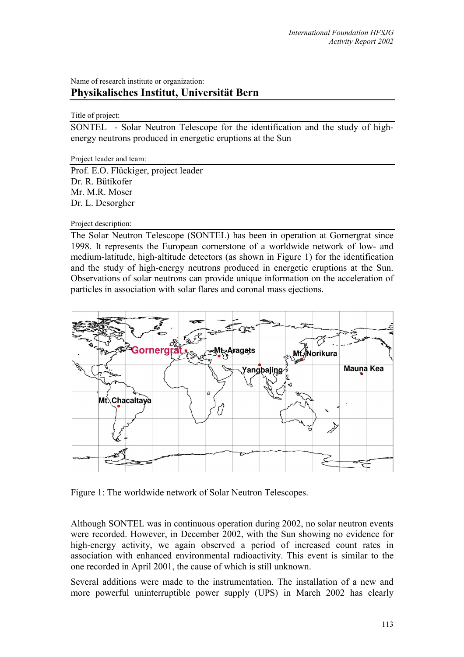## Name of research institute or organization: **Physikalisches Institut, Universität Bern**

## Title of project:

SONTEL - Solar Neutron Telescope for the identification and the study of highenergy neutrons produced in energetic eruptions at the Sun

Project leader and team:

Prof. E.O. Flückiger, project leader Dr. R. Bütikofer Mr. M.R. Moser Dr. L. Desorgher

Project description:

The Solar Neutron Telescope (SONTEL) has been in operation at Gornergrat since 1998. It represents the European cornerstone of a worldwide network of low- and medium-latitude, high-altitude detectors (as shown in Figure 1) for the identification and the study of high-energy neutrons produced in energetic eruptions at the Sun. Observations of solar neutrons can provide unique information on the acceleration of particles in association with solar flares and coronal mass ejections.



Figure 1: The worldwide network of Solar Neutron Telescopes.

Although SONTEL was in continuous operation during 2002, no solar neutron events were recorded. However, in December 2002, with the Sun showing no evidence for high-energy activity, we again observed a period of increased count rates in association with enhanced environmental radioactivity. This event is similar to the one recorded in April 2001, the cause of which is still unknown.

Several additions were made to the instrumentation. The installation of a new and more powerful uninterruptible power supply (UPS) in March 2002 has clearly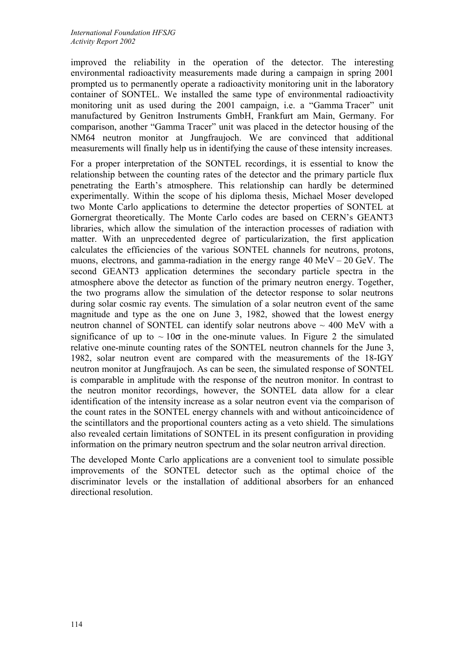improved the reliability in the operation of the detector. The interesting environmental radioactivity measurements made during a campaign in spring 2001 prompted us to permanently operate a radioactivity monitoring unit in the laboratory container of SONTEL. We installed the same type of environmental radioactivity monitoring unit as used during the 2001 campaign, i.e. a "Gamma Tracer" unit manufactured by Genitron Instruments GmbH, Frankfurt am Main, Germany. For comparison, another "Gamma Tracer" unit was placed in the detector housing of the NM64 neutron monitor at Jungfraujoch. We are convinced that additional measurements will finally help us in identifying the cause of these intensity increases.

For a proper interpretation of the SONTEL recordings, it is essential to know the relationship between the counting rates of the detector and the primary particle flux penetrating the Earth's atmosphere. This relationship can hardly be determined experimentally. Within the scope of his diploma thesis, Michael Moser developed two Monte Carlo applications to determine the detector properties of SONTEL at Gornergrat theoretically. The Monte Carlo codes are based on CERN's GEANT3 libraries, which allow the simulation of the interaction processes of radiation with matter. With an unprecedented degree of particularization, the first application calculates the efficiencies of the various SONTEL channels for neutrons, protons, muons, electrons, and gamma-radiation in the energy range 40 MeV – 20 GeV. The second GEANT3 application determines the secondary particle spectra in the atmosphere above the detector as function of the primary neutron energy. Together, the two programs allow the simulation of the detector response to solar neutrons during solar cosmic ray events. The simulation of a solar neutron event of the same magnitude and type as the one on June 3, 1982, showed that the lowest energy neutron channel of SONTEL can identify solar neutrons above  $\sim$  400 MeV with a significance of up to  $\sim 10\sigma$  in the one-minute values. In Figure 2 the simulated relative one-minute counting rates of the SONTEL neutron channels for the June 3, 1982, solar neutron event are compared with the measurements of the 18-IGY neutron monitor at Jungfraujoch. As can be seen, the simulated response of SONTEL is comparable in amplitude with the response of the neutron monitor. In contrast to the neutron monitor recordings, however, the SONTEL data allow for a clear identification of the intensity increase as a solar neutron event via the comparison of the count rates in the SONTEL energy channels with and without anticoincidence of the scintillators and the proportional counters acting as a veto shield. The simulations also revealed certain limitations of SONTEL in its present configuration in providing information on the primary neutron spectrum and the solar neutron arrival direction.

The developed Monte Carlo applications are a convenient tool to simulate possible improvements of the SONTEL detector such as the optimal choice of the discriminator levels or the installation of additional absorbers for an enhanced directional resolution.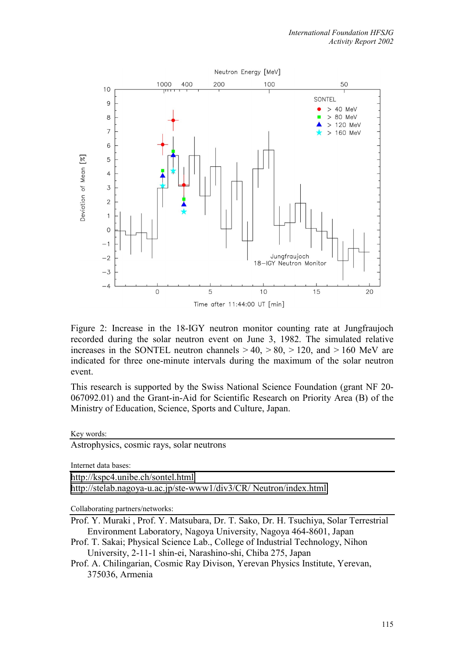

Figure 2: Increase in the 18-IGY neutron monitor counting rate at Jungfraujoch recorded during the solar neutron event on June 3, 1982. The simulated relative increases in the SONTEL neutron channels  $> 40$ ,  $> 80$ ,  $> 120$ , and  $> 160$  MeV are indicated for three one-minute intervals during the maximum of the solar neutron event.

This research is supported by the Swiss National Science Foundation (grant NF 20- 067092.01) and the Grant-in-Aid for Scientific Research on Priority Area (B) of the Ministry of Education, Science, Sports and Culture, Japan.

Key words:

Astrophysics, cosmic rays, solar neutrons

Internet data bases:

[http://kspc4.unibe.ch/sontel.html](http://kspc4.unibe.ch/nm)

[http://stelab.nagoya-u.ac.jp/ste-www1/div3/CR/ Neutron/index.html](http://stelab.nagoya-u.ac.jp/ste-www1/div3/CR/Neutron/index.html)

Collaborating partners/networks:

- Prof. Y. Muraki , Prof. Y. Matsubara, Dr. T. Sako, Dr. H. Tsuchiya, Solar Terrestrial Environment Laboratory, Nagoya University, Nagoya 464-8601, Japan
- Prof. T. Sakai; Physical Science Lab., College of Industrial Technology, Nihon University, 2-11-1 shin-ei, Narashino-shi, Chiba 275, Japan
- Prof. A. Chilingarian, Cosmic Ray Divison, Yerevan Physics Institute, Yerevan, 375036, Armenia